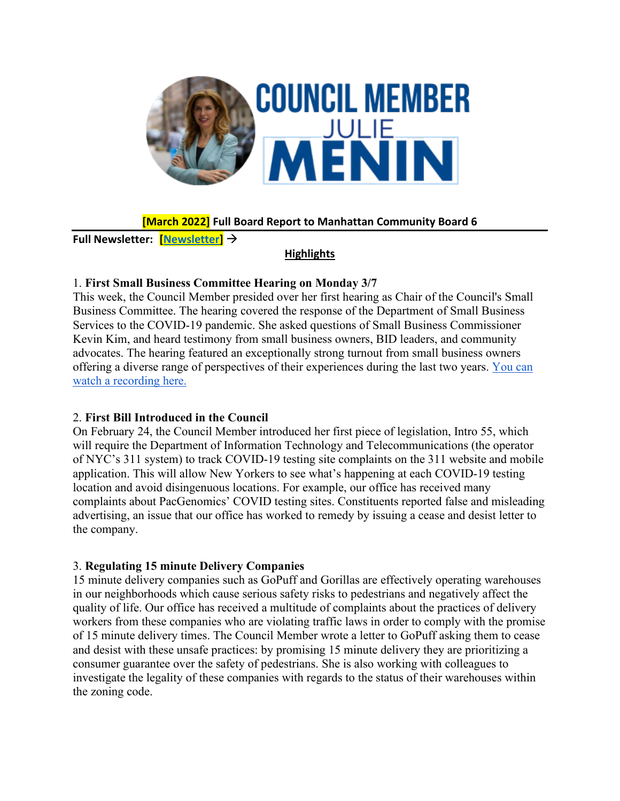

# **[March 2022] Full Board Report to Manhattan Community Board 6**

**Full Newsletter: [\[Newsletter\]](https://mailchi.mp/b063a35295c0/new-composting-site-first-hearing-today-weekly-update?e=719fcad9a7)**

## **Highlights**

#### 1. **First Small Business Committee Hearing on Monday 3/7**

This week, the Council Member presided over her first hearing as Chair of the Council's Small Business Committee. The hearing covered the response of the Department of Small Business Services to the COVID-19 pandemic. She asked questions of Small Business Commissioner Kevin Kim, and heard testimony from small business owners, BID leaders, and community advocates. The hearing featured an exceptionally strong turnout from small business owners offering a diverse range of perspectives of their experiences during the last two years. [You can](https://council.nyc.gov/livestream/#virtual-room-4)  [watch a recording here.](https://council.nyc.gov/livestream/#virtual-room-4)

## 2. **First Bill Introduced in the Council**

On February 24, the Council Member introduced her first piece of legislation, Intro 55, which will require the Department of Information Technology and Telecommunications (the operator of NYC's 311 system) to track COVID-19 testing site complaints on the 311 website and mobile application. This will allow New Yorkers to see what's happening at each COVID-19 testing location and avoid disingenuous locations. For example, our office has received many complaints about PacGenomics' COVID testing sites. Constituents reported false and misleading advertising, an issue that our office has worked to remedy by issuing a cease and desist letter to the company.

## 3. **Regulating 15 minute Delivery Companies**

15 minute delivery companies such as GoPuff and Gorillas are effectively operating warehouses in our neighborhoods which cause serious safety risks to pedestrians and negatively affect the quality of life. Our office has received a multitude of complaints about the practices of delivery workers from these companies who are violating traffic laws in order to comply with the promise of 15 minute delivery times. The Council Member wrote a letter to GoPuff asking them to cease and desist with these unsafe practices: by promising 15 minute delivery they are prioritizing a consumer guarantee over the safety of pedestrians. She is also working with colleagues to investigate the legality of these companies with regards to the status of their warehouses within the zoning code.